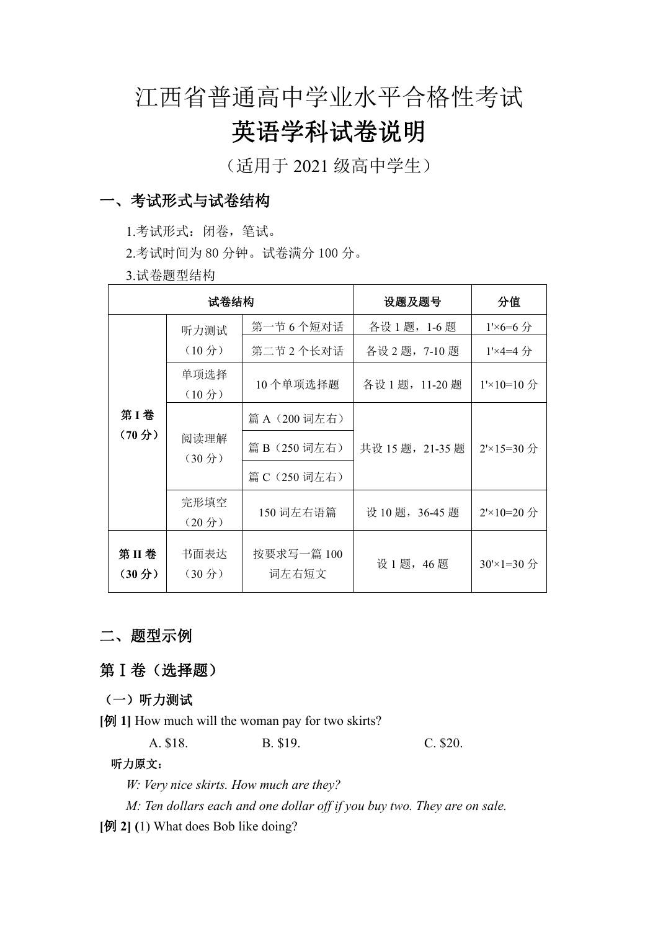# 江西省普通高中学业水平合格性考试

# 英语学科试卷说明

(适用于 2021 级高中学生)

# 一、考试形式与试卷结构

1.考试形式:闭卷,笔试。

2.考试时间为 80 分钟。试卷满分 100 分。

3.试卷题型结构

| 试卷结构                      |                            |                     | 设题及题号           | 分值                   |
|---------------------------|----------------------------|---------------------|-----------------|----------------------|
| 第1卷<br>(70 <sup>分</sup> ) | 听力测试                       | 第一节6个短对话            | 各设1题, 1-6题      | $1' \times 6 = 6$ 分  |
|                           | (10 <sup>分</sup> )         | 第二节 2 个长对话          | 各设 2 题, 7-10题   | $1' \times 4 = 4$ 分  |
|                           | 单项选择<br>(10 <sup>分</sup> ) | 10个单项选择题            | 各设 1 题, 11-20 题 | $1'$ ×10=10 分        |
|                           | 阅读理解<br>(30 <sup>分</sup> ) | 篇 A (200 词左右)       | 共设 15题, 21-35题  | $2 \times 15 = 30$ 分 |
|                           |                            | 篇 B (250 词左右)       |                 |                      |
|                           |                            | 篇 C (250 词左右)       |                 |                      |
|                           | 完形填空<br>(20 <i>分</i> )     | 150 词左右语篇           | 设 10 题, 36-45 题 | $2 \times 10 = 20$ 分 |
| 第II卷<br>(30 <i>分</i> )    | 书面表达<br>(30 <sup>分</sup> ) | 按要求写一篇 100<br>词左右短文 | 设 1题, 46题       | $30 \times 1 = 30$ 分 |

# 二、题型示例

# 第Ⅰ卷(选择题)

### (一)听力测试

**[**例 **1]** How much will the woman pay for two skirts?

A. \$18. B. \$19. C. \$20.

#### 听力原文:

*W: Very nice skirts. How much are they?*

*M: Ten dollars each and one dollar of ifyou buy two. They are on sale.*

**[**例 **2] (**1) What does Bob like doing?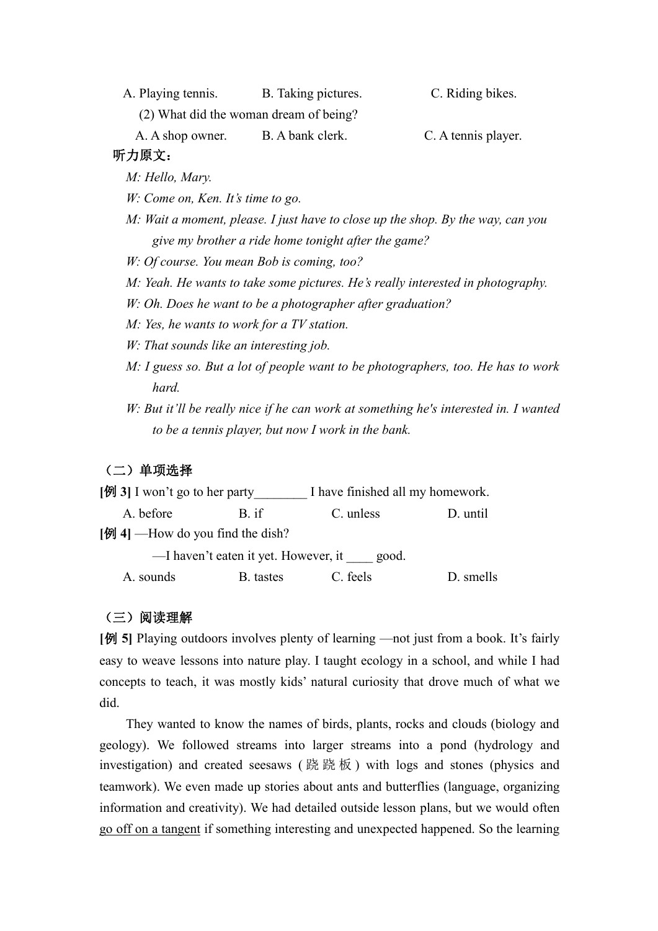A. Playing tennis. B. Taking pictures. C. Riding bikes. (2) What did the woman dream of being?

A. A shop owner. B. A bank clerk. C. A tennis player.

## 听力原文:

*M: Hello, Mary.*

*W: Come on, Ken. It's time to go.*

- *M: Wait a moment, please. I just have to close up the shop. By the way, can you give my brother a ride home tonight after the game?*
- *W: Of course. You mean Bob is coming, too?*
- *M: Yeah. He wants to take some pictures.He's really interested in photography.*
- *W: Oh. Does he want to be a photographer after graduation?*
- *M: Yes, he wants to work for a TV station.*
- *W: That sounds like an interesting job.*
- *M: I guess so. But a lot of people want to be photographers, too. He has to work hard.*
- *W: But it'll be really nice if he can work at something he's interested in. I wanted to be a tennis player, but now I work in the bank.*

#### (二)单项选择

- **[** $\emptyset$ **]** I won't go to her party\_\_\_\_\_\_\_\_\_ I have finished all my homework.<br>A. before B. if C. unless D. until
- 

[例 4] —How do you find the dish?

—I haven't eaten it yet. However, it good.

A. sounds B. tastes C. feels D. smells

#### (三)阅读理解

**[**例 **5]** Playing outdoors involves plenty of learning —not just from a book. It's fairly easy to weave lessons into nature play. I taught ecology in a school, and while Ihad concepts to teach, it was mostly kids' natural curiosity that drove much of what we did.

They wanted to know the names of birds, plants, rocks and clouds (biology and geology). We followed streams into larger streams into a pond (hydrology and investigation) and created seesaws (跷跷板) with logs and stones (physics and teamwork). We even made up stories about ants and butterflies (language, organizing information and creativity). We had detailed outside lesson plans, but we would often go off on a tangent if something interesting and unexpected happened. So the learning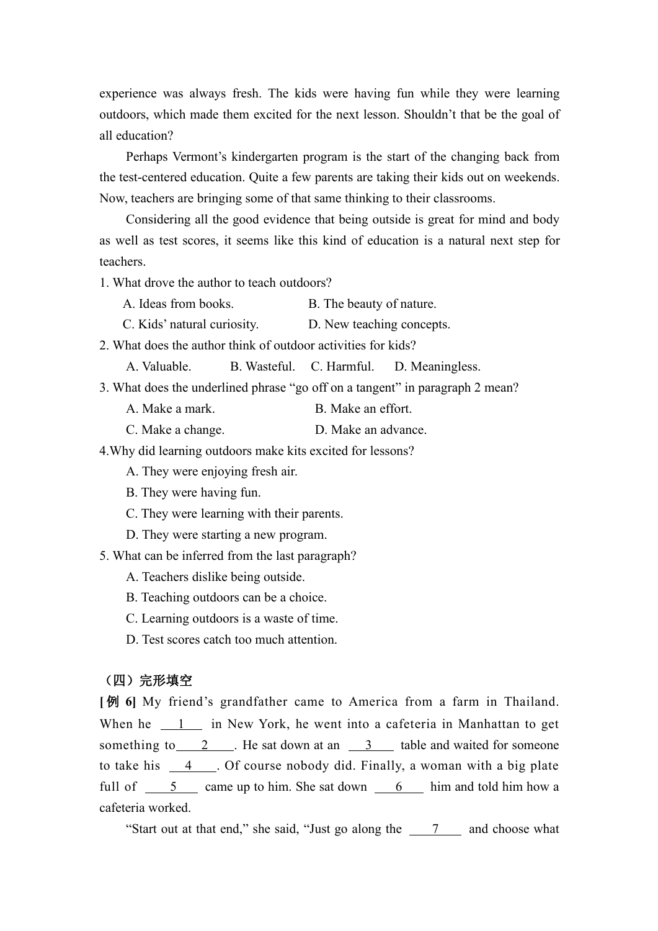experience was always fresh. The kids were having fun while they were learning outdoors, which made them excited for the next lesson. Shouldn't that be the goal of all education?

Perhaps Vermont's kindergarten program is the start of the changing back from the test-centered education. Quite a few parents are taking their kids out on weekends. Now, teachers are bringing some of that same thinking to their classrooms.

Considering all the good evidence that being outside is great for mind and body as well as test scores, it seems like this kind of education is a natural next step for teachers.

1. What drove the author to teach outdoors?

- A. Ideas from books. B. The beauty of nature.
- C. Kids' natural curiosity. D. New teaching concepts.

2. What does the author think of outdoor activities for kids?

A. Valuable. B. Wasteful. C. Harmful. D. Meaningless.

3. What does the underlined phrase "go off on a tangent" in paragraph 2 mean?

- A. Make a mark. B. Make an effort.
- C. Make a change. D. Make an advance.

4.Why did learning outdoors make kits excited for lessons?

A. They were enjoying fresh air.

B. They were having fun.

- C. They were learning with their parents.
- D. They were starting a new program.

5. What can be inferred from the last paragraph?

A. Teachers dislike being outside.

B. Teaching outdoors can be a choice.

C. Learning outdoors is a waste of time.

D. Test scores catch too much attention.

#### (四)完形填空

**[例 6]** My friend's grandfather came to America from a farm in Thailand. When he  $1$  in New York, he went into a cafeteria in Manhattan to get something to 2 . He sat down at an 3 table and waited for someone to take his 4 . Of course nobody did. Finally, a woman with a big plate full of  $\frac{5}{2}$  came up to him. She sat down  $\frac{6}{2}$  him and told him how a cafeteria worked.

"Start out at that end," she said, "Just go along the 7 and choose what